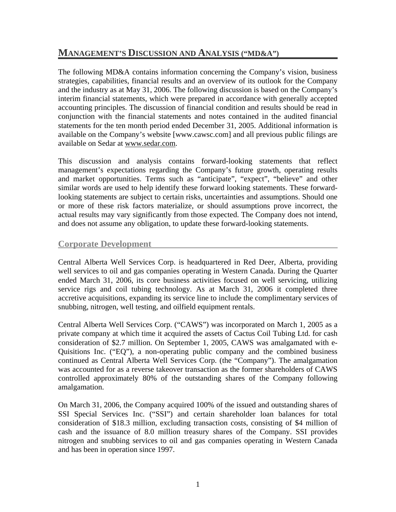# **MANAGEMENT'S DISCUSSION AND ANALYSIS ("MD&A")**

The following MD&A contains information concerning the Company's vision, business strategies, capabilities, financial results and an overview of its outlook for the Company and the industry as at May 31, 2006. The following discussion is based on the Company's interim financial statements, which were prepared in accordance with generally accepted accounting principles. The discussion of financial condition and results should be read in conjunction with the financial statements and notes contained in the audited financial statements for the ten month period ended December 31, 2005. Additional information is available on the Company's website [www.cawsc.com] and all previous public filings are available on Sedar at www.sedar.com.

This discussion and analysis contains forward-looking statements that reflect management's expectations regarding the Company's future growth, operating results and market opportunities. Terms such as "anticipate", "expect", "believe" and other similar words are used to help identify these forward looking statements. These forwardlooking statements are subject to certain risks, uncertainties and assumptions. Should one or more of these risk factors materialize, or should assumptions prove incorrect, the actual results may vary significantly from those expected. The Company does not intend, and does not assume any obligation, to update these forward-looking statements.

### **Corporate Development**

Central Alberta Well Services Corp. is headquartered in Red Deer, Alberta, providing well services to oil and gas companies operating in Western Canada. During the Quarter ended March 31, 2006, its core business activities focused on well servicing, utilizing service rigs and coil tubing technology. As at March 31, 2006 it completed three accretive acquisitions, expanding its service line to include the complimentary services of snubbing, nitrogen, well testing, and oilfield equipment rentals.

Central Alberta Well Services Corp. ("CAWS") was incorporated on March 1, 2005 as a private company at which time it acquired the assets of Cactus Coil Tubing Ltd. for cash consideration of \$2.7 million. On September 1, 2005, CAWS was amalgamated with e-Quisitions Inc. ("EQ"), a non-operating public company and the combined business continued as Central Alberta Well Services Corp. (the "Company"). The amalgamation was accounted for as a reverse takeover transaction as the former shareholders of CAWS controlled approximately 80% of the outstanding shares of the Company following amalgamation.

On March 31, 2006, the Company acquired 100% of the issued and outstanding shares of SSI Special Services Inc. ("SSI") and certain shareholder loan balances for total consideration of \$18.3 million, excluding transaction costs, consisting of \$4 million of cash and the issuance of 8.0 million treasury shares of the Company. SSI provides nitrogen and snubbing services to oil and gas companies operating in Western Canada and has been in operation since 1997.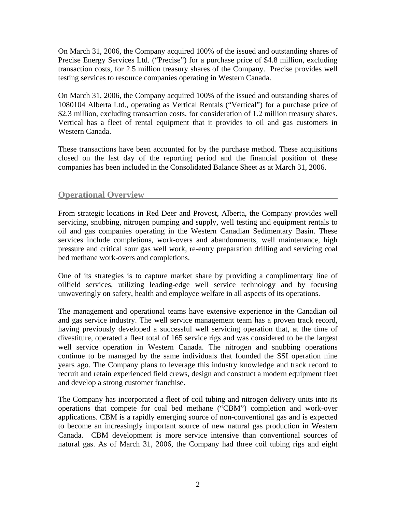On March 31, 2006, the Company acquired 100% of the issued and outstanding shares of Precise Energy Services Ltd. ("Precise") for a purchase price of \$4.8 million, excluding transaction costs, for 2.5 million treasury shares of the Company. Precise provides well testing services to resource companies operating in Western Canada.

On March 31, 2006, the Company acquired 100% of the issued and outstanding shares of 1080104 Alberta Ltd., operating as Vertical Rentals ("Vertical") for a purchase price of \$2.3 million, excluding transaction costs, for consideration of 1.2 million treasury shares. Vertical has a fleet of rental equipment that it provides to oil and gas customers in Western Canada.

These transactions have been accounted for by the purchase method. These acquisitions closed on the last day of the reporting period and the financial position of these companies has been included in the Consolidated Balance Sheet as at March 31, 2006.

### **Operational Overview**

From strategic locations in Red Deer and Provost, Alberta, the Company provides well servicing, snubbing, nitrogen pumping and supply, well testing and equipment rentals to oil and gas companies operating in the Western Canadian Sedimentary Basin. These services include completions, work-overs and abandonments, well maintenance, high pressure and critical sour gas well work, re-entry preparation drilling and servicing coal bed methane work-overs and completions.

One of its strategies is to capture market share by providing a complimentary line of oilfield services, utilizing leading-edge well service technology and by focusing unwaveringly on safety, health and employee welfare in all aspects of its operations.

The management and operational teams have extensive experience in the Canadian oil and gas service industry. The well service management team has a proven track record, having previously developed a successful well servicing operation that, at the time of divestiture, operated a fleet total of 165 service rigs and was considered to be the largest well service operation in Western Canada. The nitrogen and snubbing operations continue to be managed by the same individuals that founded the SSI operation nine years ago. The Company plans to leverage this industry knowledge and track record to recruit and retain experienced field crews, design and construct a modern equipment fleet and develop a strong customer franchise.

The Company has incorporated a fleet of coil tubing and nitrogen delivery units into its operations that compete for coal bed methane ("CBM") completion and work-over applications. CBM is a rapidly emerging source of non-conventional gas and is expected to become an increasingly important source of new natural gas production in Western Canada. CBM development is more service intensive than conventional sources of natural gas. As of March 31, 2006, the Company had three coil tubing rigs and eight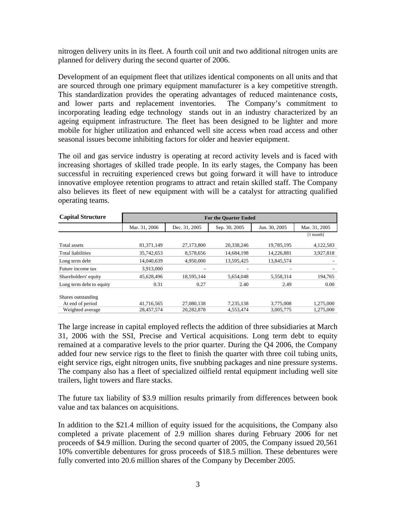nitrogen delivery units in its fleet. A fourth coil unit and two additional nitrogen units are planned for delivery during the second quarter of 2006.

Development of an equipment fleet that utilizes identical components on all units and that are sourced through one primary equipment manufacturer is a key competitive strength. This standardization provides the operating advantages of reduced maintenance costs, and lower parts and replacement inventories. The Company's commitment to incorporating leading edge technology stands out in an industry characterized by an ageing equipment infrastructure. The fleet has been designed to be lighter and more mobile for higher utilization and enhanced well site access when road access and other seasonal issues become inhibiting factors for older and heavier equipment.

The oil and gas service industry is operating at record activity levels and is faced with increasing shortages of skilled trade people. In its early stages, the Company has been successful in recruiting experienced crews but going forward it will have to introduce innovative employee retention programs to attract and retain skilled staff. The Company also believes its fleet of new equipment with will be a catalyst for attracting qualified operating teams.

| <b>Capital Structure</b> | <b>For the Quarter Ended</b> |                          |               |                          |               |  |
|--------------------------|------------------------------|--------------------------|---------------|--------------------------|---------------|--|
|                          | Mar. 31, 2006                | Dec. 31, 2005            | Sep. 30, 2005 | Jun. 30, 2005            | Mar. 31, 2005 |  |
|                          |                              |                          |               |                          | $[1$ month]   |  |
| Total assets             | 81,371,149                   | 27,173,800               | 20,338,246    | 19,785,195               | 4,122,583     |  |
| Total liabilities        | 35,742,653                   | 8,578,656                | 14,684,198    | 14,226,881               | 3,927,818     |  |
| Long term debt           | 14,040,639                   | 4,950,000                | 13,595,425    | 13,845,574               |               |  |
| Future income tax        | 3,913,000                    | $\overline{\phantom{0}}$ |               | $\overline{\phantom{a}}$ |               |  |
| Shareholders' equity     | 45,628,496                   | 18,595,144               | 5,654,048     | 5,558,314                | 194,765       |  |
| Long term debt to equity | 0.31                         | 0.27                     | 2.40          | 2.49                     | 0.00          |  |
| Shares outstanding       |                              |                          |               |                          |               |  |
| At end of period         | 41,716,565                   | 27,080,138               | 7,235,138     | 3,775,008                | 1,275,000     |  |
| Weighted average         | 28,457,574                   | 20,282,878               | 4,553,474     | 3,005,775                | 1,275,000     |  |

The large increase in capital employed reflects the addition of three subsidiaries at March 31, 2006 with the SSI, Precise and Vertical acquisitions. Long term debt to equity remained at a comparative levels to the prior quarter. During the Q4 2006, the Company added four new service rigs to the fleet to finish the quarter with three coil tubing units, eight service rigs, eight nitrogen units, five snubbing packages and nine pressure systems. The company also has a fleet of specialized oilfield rental equipment including well site trailers, light towers and flare stacks.

The future tax liability of \$3.9 million results primarily from differences between book value and tax balances on acquisitions.

In addition to the \$21.4 million of equity issued for the acquisitions, the Company also completed a private placement of 2.9 million shares during February 2006 for net proceeds of \$4.9 million. During the second quarter of 2005, the Company issued 20,561 10% convertible debentures for gross proceeds of \$18.5 million. These debentures were fully converted into 20.6 million shares of the Company by December 2005.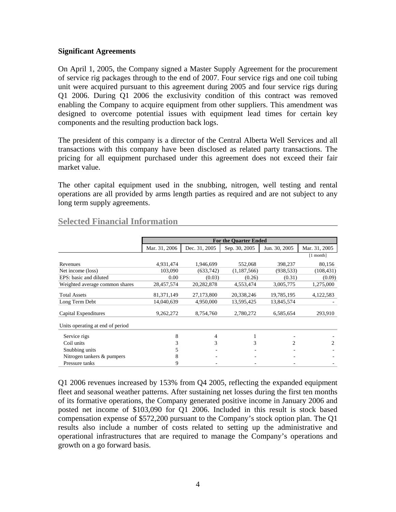#### **Significant Agreements**

On April 1, 2005, the Company signed a Master Supply Agreement for the procurement of service rig packages through to the end of 2007. Four service rigs and one coil tubing unit were acquired pursuant to this agreement during 2005 and four service rigs during Q1 2006. During Q1 2006 the exclusivity condition of this contract was removed enabling the Company to acquire equipment from other suppliers. This amendment was designed to overcome potential issues with equipment lead times for certain key components and the resulting production back logs.

The president of this company is a director of the Central Alberta Well Services and all transactions with this company have been disclosed as related party transactions. The pricing for all equipment purchased under this agreement does not exceed their fair market value.

The other capital equipment used in the snubbing, nitrogen, well testing and rental operations are all provided by arms length parties as required and are not subject to any long term supply agreements.

|                                  | <b>For the Quarter Ended</b> |               |               |               |                             |  |  |
|----------------------------------|------------------------------|---------------|---------------|---------------|-----------------------------|--|--|
|                                  | Mar. 31, 2006                | Dec. 31, 2005 | Sep. 30, 2005 | Jun. 30, 2005 | Mar. 31, 2005               |  |  |
|                                  |                              |               |               |               | $[1$ month]                 |  |  |
| Revenues                         | 4,931,474                    | 1,946,699     | 552,068       | 398,237       | 80,156                      |  |  |
| Net income (loss)                | 103,090                      | (633, 742)    | (1,187,566)   | (938, 533)    | (108, 431)                  |  |  |
| EPS: basic and diluted           | 0.00                         | (0.03)        | (0.26)        | (0.31)        | (0.09)                      |  |  |
| Weighted average common shares   | 28,457,574                   | 20,282,878    | 4,553,474     | 3,005,775     | 1,275,000                   |  |  |
| <b>Total Assets</b>              | 81,371,149                   | 27,173,800    | 20,338,246    | 19,785,195    | 4,122,583                   |  |  |
| Long Term Debt                   | 14,040,639                   | 4,950,000     | 13,595,425    | 13,845,574    |                             |  |  |
| Capital Expenditures             | 9,262,272                    | 8,754,760     | 2,780,272     | 6,585,654     | 293,910                     |  |  |
| Units operating at end of period |                              |               |               |               |                             |  |  |
| Service rigs                     | 8                            | 4             | 1             |               |                             |  |  |
| Coil units                       | 3                            | 3             | 3             | 2             | $\mathcal{D}_{\mathcal{L}}$ |  |  |
| Snubbing units                   |                              |               |               |               |                             |  |  |
| Nitrogen tankers & pumpers       | 8                            |               |               |               |                             |  |  |
| Pressure tanks                   | 9                            |               |               |               |                             |  |  |

## **Selected Financial Information**

Q1 2006 revenues increased by 153% from Q4 2005, reflecting the expanded equipment fleet and seasonal weather patterns. After sustaining net losses during the first ten months of its formative operations, the Company generated positive income in January 2006 and posted net income of \$103,090 for Q1 2006. Included in this result is stock based compensation expense of \$572,200 pursuant to the Company's stock option plan. The Q1 results also include a number of costs related to setting up the administrative and operational infrastructures that are required to manage the Company's operations and growth on a go forward basis.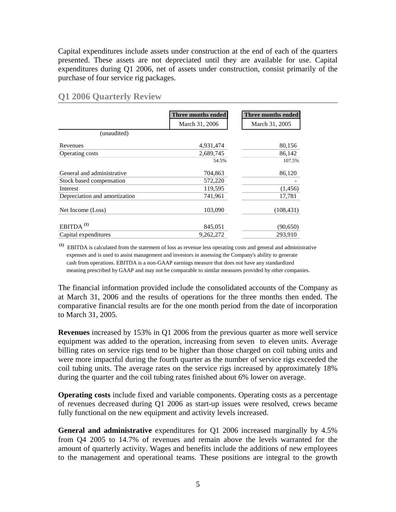Capital expenditures include assets under construction at the end of each of the quarters presented. These assets are not depreciated until they are available for use. Capital expenditures during Q1 2006, net of assets under construction, consist primarily of the purchase of four service rig packages.

|                               | Three months ended | Three months ended |
|-------------------------------|--------------------|--------------------|
|                               | March 31, 2006     | March 31, 2005     |
| (unaudited)                   |                    |                    |
| Revenues                      | 4,931,474          | 80,156             |
| Operating costs               | 2,689,745          | 86,142             |
|                               | 54.5%              | 107.5%             |
| General and administrative    | 704,863            | 86,120             |
| Stock based compensation      | 572,220            |                    |
| Interest                      | 119,595            | (1,456)            |
| Depreciation and amortization | 741,961            | 17,781             |
| Net Income (Loss)             | 103,090            | (108, 431)         |
| EBITDA <sup>(1)</sup>         | 845,051            | (90, 650)          |
| Capital expenditures          | 9,262,272          | 293,910            |

### **Q1 2006 Quarterly Review**

**(1)** EBITDA is calculated from the statement of loss as revenue less operating costs and general and administrative expenses and is used to assist management and investors in assessing the Company's ability to generate cash from operations. EBITDA is a non-GAAP earnings measure that does not have any standardized meaning prescribed by GAAP and may not be comparable to similar measures provided by other companies.

The financial information provided include the consolidated accounts of the Company as at March 31, 2006 and the results of operations for the three months then ended. The comparative financial results are for the one month period from the date of incorporation to March 31, 2005.

**Revenues** increased by 153% in Q1 2006 from the previous quarter as more well service equipment was added to the operation, increasing from seven to eleven units. Average billing rates on service rigs tend to be higher than those charged on coil tubing units and were more impactful during the fourth quarter as the number of service rigs exceeded the coil tubing units. The average rates on the service rigs increased by approximately 18% during the quarter and the coil tubing rates finished about 6% lower on average.

**Operating costs** include fixed and variable components. Operating costs as a percentage of revenues decreased during Q1 2006 as start-up issues were resolved, crews became fully functional on the new equipment and activity levels increased.

**General and administrative** expenditures for Q1 2006 increased marginally by 4.5% from Q4 2005 to 14.7% of revenues and remain above the levels warranted for the amount of quarterly activity. Wages and benefits include the additions of new employees to the management and operational teams. These positions are integral to the growth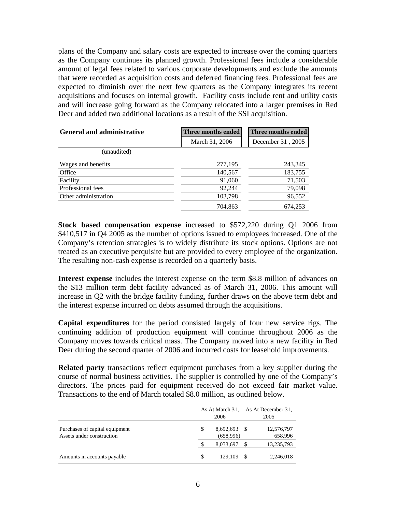plans of the Company and salary costs are expected to increase over the coming quarters as the Company continues its planned growth. Professional fees include a considerable amount of legal fees related to various corporate developments and exclude the amounts that were recorded as acquisition costs and deferred financing fees. Professional fees are expected to diminish over the next few quarters as the Company integrates its recent acquisitions and focuses on internal growth. Facility costs include rent and utility costs and will increase going forward as the Company relocated into a larger premises in Red Deer and added two additional locations as a result of the SSI acquisition.

| <b>General and administrative</b> | Three months ended | Three months ended |  |
|-----------------------------------|--------------------|--------------------|--|
|                                   | March 31, 2006     | December 31, 2005  |  |
| (unaudited)                       |                    |                    |  |
| Wages and benefits                | 277,195            | 243,345            |  |
| Office                            | 140,567            | 183,755            |  |
| Facility                          | 91,060             | 71,503             |  |
| Professional fees                 | 92,244             | 79,098             |  |
| Other administration              | 103,798            | 96,552             |  |
|                                   | 704,863            | 674,253            |  |

**Stock based compensation expense** increased to \$572,220 during Q1 2006 from \$410,517 in Q4 2005 as the number of options issued to employees increased. One of the Company's retention strategies is to widely distribute its stock options. Options are not treated as an executive perquisite but are provided to every employee of the organization. The resulting non-cash expense is recorded on a quarterly basis.

**Interest expense** includes the interest expense on the term \$8.8 million of advances on the \$13 million term debt facility advanced as of March 31, 2006. This amount will increase in Q2 with the bridge facility funding, further draws on the above term debt and the interest expense incurred on debts assumed through the acquisitions.

**Capital expenditures** for the period consisted largely of four new service rigs. The continuing addition of production equipment will continue throughout 2006 as the Company moves towards critical mass. The Company moved into a new facility in Red Deer during the second quarter of 2006 and incurred costs for leasehold improvements.

**Related party** transactions reflect equipment purchases from a key supplier during the course of normal business activities. The supplier is controlled by one of the Company's directors. The prices paid for equipment received do not exceed fair market value. Transactions to the end of March totaled \$8.0 million, as outlined below.

|                                                             | As At March 31,<br>2006 |                        | As At December 31,<br>2005 |                       |
|-------------------------------------------------------------|-------------------------|------------------------|----------------------------|-----------------------|
| Purchases of capital equipment<br>Assets under construction | S                       | 8,692,693<br>(658,996) | - \$                       | 12,576,797<br>658,996 |
|                                                             | S                       | 8,033,697              | -S                         | 13,235,793            |
| Amounts in accounts payable                                 | S                       | 129,109                |                            | 2,246,018             |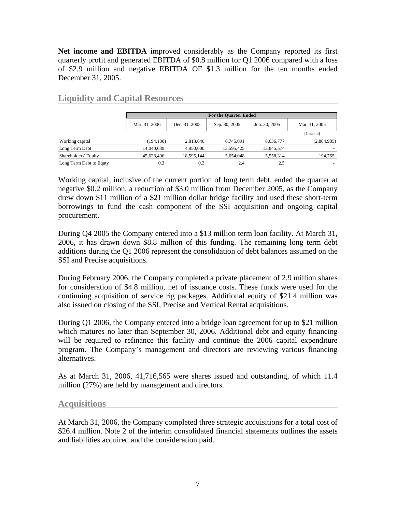**Net income and EBITDA** improved considerably as the Company reported its first quarterly profit and generated EBITDA of \$0.8 million for Q1 2006 compared with a loss of \$2.9 million and negative EBITDA OF \$1.3 million for the ten months ended December 31, 2005.

|                         | <b>For the Quarter Ended</b> |               |               |               |               |  |
|-------------------------|------------------------------|---------------|---------------|---------------|---------------|--|
|                         | Mar. 31, 2006                | Dec. 31, 2005 | Sep. 30, 2005 | Jun. 30, 2005 | Mar. 31, 2005 |  |
|                         |                              |               |               |               | [1 month]     |  |
| Working capital         | (194, 130)                   | 2,813,640     | 6.745.091     | 8,636,777     | (2,884,985)   |  |
| Long Term Debt          | 14,040,639                   | 4,950,000     | 13,595,425    | 13,845,574    |               |  |
| Shareholders' Equity    | 45,628,496                   | 18,595,144    | 5,654,048     | 5,558,314     | 194,765       |  |
| Long Term Debt to Equty | 0.3                          | 0.3           | 2.4           | 2.5           |               |  |

### **Liquidity and Capital Resources**

Working capital, inclusive of the current portion of long term debt, ended the quarter at negative \$0.2 million, a reduction of \$3.0 million from December 2005, as the Company drew down \$11 million of a \$21 million dollar bridge facility and used these short-term borrowings to fund the cash component of the SSI acquisition and ongoing capital procurement.

During Q4 2005 the Company entered into a \$13 million term loan facility. At March 31, 2006, it has drawn down \$8.8 million of this funding. The remaining long term debt additions during the Q1 2006 represent the consolidation of debt balances assumed on the SSI and Precise acquisitions.

During February 2006, the Company completed a private placement of 2.9 million shares for consideration of \$4.8 million, net of issuance costs. These funds were used for the continuing acquisition of service rig packages. Additional equity of \$21.4 million was also issued on closing of the SSI, Precise and Vertical Rental acquisitions.

During Q1 2006, the Company entered into a bridge loan agreement for up to \$21 million which matures no later than September 30, 2006. Additional debt and equity financing will be required to refinance this facility and continue the 2006 capital expenditure program. The Company's management and directors are reviewing various financing alternatives.

As at March 31, 2006, 41,716,565 were shares issued and outstanding, of which 11.4 million (27%) are held by management and directors.

### **Acquisitions**

At March 31, 2006, the Company completed three strategic acquisitions for a total cost of \$26.4 million. Note 2 of the interim consolidated financial statements outlines the assets and liabilities acquired and the consideration paid.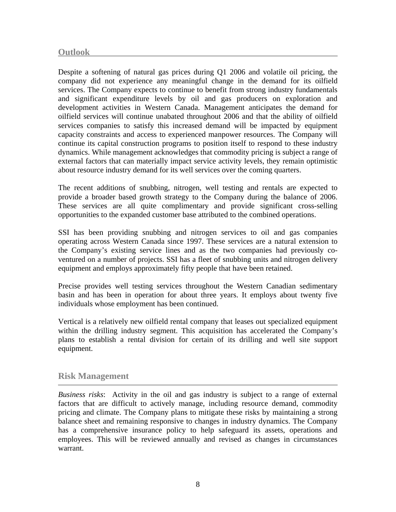Despite a softening of natural gas prices during Q1 2006 and volatile oil pricing, the company did not experience any meaningful change in the demand for its oilfield services. The Company expects to continue to benefit from strong industry fundamentals and significant expenditure levels by oil and gas producers on exploration and development activities in Western Canada. Management anticipates the demand for oilfield services will continue unabated throughout 2006 and that the ability of oilfield services companies to satisfy this increased demand will be impacted by equipment capacity constraints and access to experienced manpower resources. The Company will continue its capital construction programs to position itself to respond to these industry dynamics. While management acknowledges that commodity pricing is subject a range of external factors that can materially impact service activity levels, they remain optimistic about resource industry demand for its well services over the coming quarters.

The recent additions of snubbing, nitrogen, well testing and rentals are expected to provide a broader based growth strategy to the Company during the balance of 2006. These services are all quite complimentary and provide significant cross-selling opportunities to the expanded customer base attributed to the combined operations.

SSI has been providing snubbing and nitrogen services to oil and gas companies operating across Western Canada since 1997. These services are a natural extension to the Company's existing service lines and as the two companies had previously coventured on a number of projects. SSI has a fleet of snubbing units and nitrogen delivery equipment and employs approximately fifty people that have been retained.

Precise provides well testing services throughout the Western Canadian sedimentary basin and has been in operation for about three years. It employs about twenty five individuals whose employment has been continued.

Vertical is a relatively new oilfield rental company that leases out specialized equipment within the drilling industry segment. This acquisition has accelerated the Company's plans to establish a rental division for certain of its drilling and well site support equipment.

### **Risk Management**

*Business risks*: Activity in the oil and gas industry is subject to a range of external factors that are difficult to actively manage, including resource demand, commodity pricing and climate. The Company plans to mitigate these risks by maintaining a strong balance sheet and remaining responsive to changes in industry dynamics. The Company has a comprehensive insurance policy to help safeguard its assets, operations and employees. This will be reviewed annually and revised as changes in circumstances warrant.